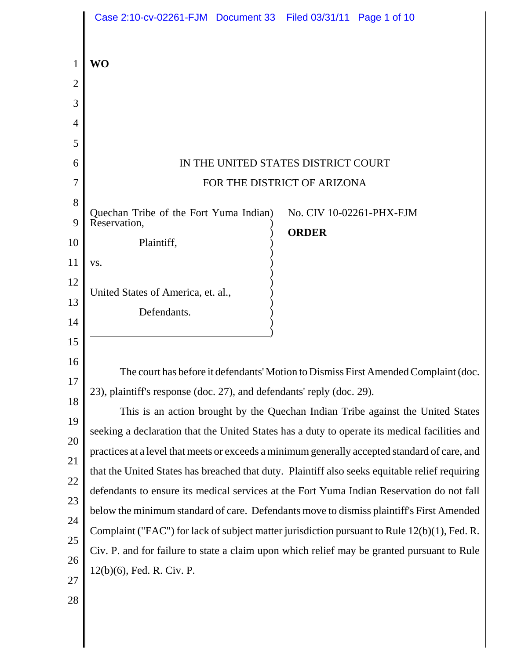|                | Case 2:10-cv-02261-FJM Document 33 Filed 03/31/11 Page 1 of 10                                 |
|----------------|------------------------------------------------------------------------------------------------|
|                |                                                                                                |
| 1              | <b>WO</b>                                                                                      |
| $\overline{2}$ |                                                                                                |
| 3              |                                                                                                |
| $\overline{4}$ |                                                                                                |
| 5              |                                                                                                |
| 6<br>7         | IN THE UNITED STATES DISTRICT COURT<br>FOR THE DISTRICT OF ARIZONA                             |
| 8              |                                                                                                |
| 9              | Quechan Tribe of the Fort Yuma Indian)<br>No. CIV 10-02261-PHX-FJM<br>Reservation,             |
| 10             | <b>ORDER</b><br>Plaintiff,                                                                     |
| 11             | VS.                                                                                            |
| 12             |                                                                                                |
| 13             | United States of America, et. al.,                                                             |
| 14             | Defendants.                                                                                    |
| 15             |                                                                                                |
| 16             | The court has before it defendants' Motion to Dismiss First Amended Complaint (doc.            |
| 17             | 23), plaintiff's response (doc. 27), and defendants' reply (doc. 29).                          |
| 18             | This is an action brought by the Quechan Indian Tribe against the United States                |
| 19             | seeking a declaration that the United States has a duty to operate its medical facilities and  |
| 20             | practices at a level that meets or exceeds a minimum generally accepted standard of care, and  |
| 21             | that the United States has breached that duty. Plaintiff also seeks equitable relief requiring |
| 22             | defendants to ensure its medical services at the Fort Yuma Indian Reservation do not fall      |
| 23             | below the minimum standard of care. Defendants move to dismiss plaintiff's First Amended       |
| 24<br>25       | Complaint ("FAC") for lack of subject matter jurisdiction pursuant to Rule 12(b)(1), Fed. R.   |
| 26             | Civ. P. and for failure to state a claim upon which relief may be granted pursuant to Rule     |
| 27             | 12(b)(6), Fed. R. Civ. P.                                                                      |
| 28             |                                                                                                |
|                |                                                                                                |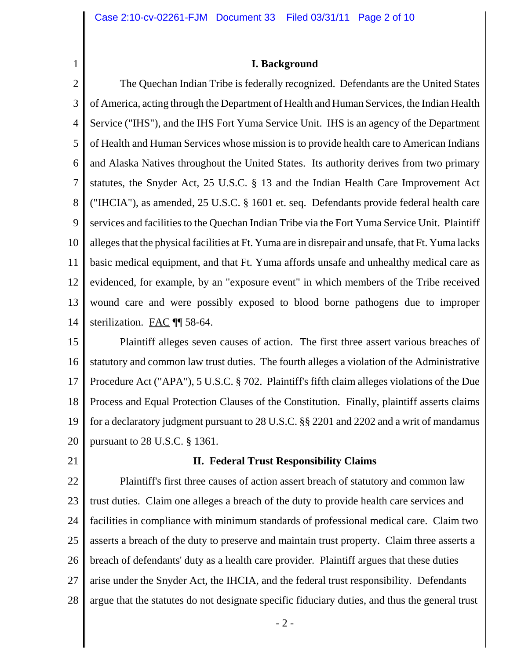## **I. Background**

2 3 4 5 6 7 8 9 10 11 12 13 14 The Quechan Indian Tribe is federally recognized. Defendants are the United States of America, acting through the Department of Health and Human Services, the Indian Health Service ("IHS"), and the IHS Fort Yuma Service Unit. IHS is an agency of the Department of Health and Human Services whose mission is to provide health care to American Indians and Alaska Natives throughout the United States. Its authority derives from two primary statutes, the Snyder Act, 25 U.S.C. § 13 and the Indian Health Care Improvement Act ("IHCIA"), as amended, 25 U.S.C. § 1601 et. seq. Defendants provide federal health care services and facilities to the Quechan Indian Tribe via the Fort Yuma Service Unit. Plaintiff alleges that the physical facilities at Ft. Yuma are in disrepair and unsafe, that Ft. Yuma lacks basic medical equipment, and that Ft. Yuma affords unsafe and unhealthy medical care as evidenced, for example, by an "exposure event" in which members of the Tribe received wound care and were possibly exposed to blood borne pathogens due to improper sterilization. FAC ¶¶ 58-64.

15 16 17 18 19 20 Plaintiff alleges seven causes of action. The first three assert various breaches of statutory and common law trust duties. The fourth alleges a violation of the Administrative Procedure Act ("APA"), 5 U.S.C. § 702. Plaintiff's fifth claim alleges violations of the Due Process and Equal Protection Clauses of the Constitution. Finally, plaintiff asserts claims for a declaratory judgment pursuant to 28 U.S.C. §§ 2201 and 2202 and a writ of mandamus pursuant to 28 U.S.C. § 1361.

21

1

## **II. Federal Trust Responsibility Claims**

22 23 24 25 26 27 28 Plaintiff's first three causes of action assert breach of statutory and common law trust duties. Claim one alleges a breach of the duty to provide health care services and facilities in compliance with minimum standards of professional medical care. Claim two asserts a breach of the duty to preserve and maintain trust property. Claim three asserts a breach of defendants' duty as a health care provider. Plaintiff argues that these duties arise under the Snyder Act, the IHCIA, and the federal trust responsibility. Defendants argue that the statutes do not designate specific fiduciary duties, and thus the general trust

- 2 -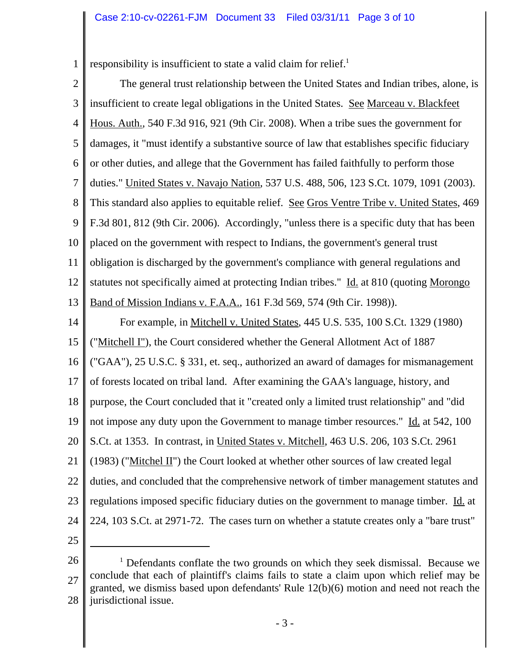1 responsibility is insufficient to state a valid claim for relief.<sup>1</sup>

- 2 3 4 5 6 7 8 9 10 11 12 13 14 15 16 17 18 19 20 21 22 23 24 25 The general trust relationship between the United States and Indian tribes, alone, is insufficient to create legal obligations in the United States. See Marceau v. Blackfeet Hous. Auth., 540 F.3d 916, 921 (9th Cir. 2008). When a tribe sues the government for damages, it "must identify a substantive source of law that establishes specific fiduciary or other duties, and allege that the Government has failed faithfully to perform those duties." United States v. Navajo Nation, 537 U.S. 488, 506, 123 S.Ct. 1079, 1091 (2003). This standard also applies to equitable relief. See Gros Ventre Tribe v. United States, 469 F.3d 801, 812 (9th Cir. 2006). Accordingly, "unless there is a specific duty that has been placed on the government with respect to Indians, the government's general trust obligation is discharged by the government's compliance with general regulations and statutes not specifically aimed at protecting Indian tribes." Id. at 810 (quoting Morongo Band of Mission Indians v. F.A.A., 161 F.3d 569, 574 (9th Cir. 1998)). For example, in Mitchell v. United States, 445 U.S. 535, 100 S.Ct. 1329 (1980) ("Mitchell I"), the Court considered whether the General Allotment Act of 1887 ("GAA"), 25 U.S.C. § 331, et. seq., authorized an award of damages for mismanagement of forests located on tribal land. After examining the GAA's language, history, and purpose, the Court concluded that it "created only a limited trust relationship" and "did not impose any duty upon the Government to manage timber resources." Id. at 542, 100 S.Ct. at 1353. In contrast, in United States v. Mitchell, 463 U.S. 206, 103 S.Ct. 2961  $(1983)$  ("Mitchel II") the Court looked at whether other sources of law created legal duties, and concluded that the comprehensive network of timber management statutes and regulations imposed specific fiduciary duties on the government to manage timber. Id. at 224, 103 S.Ct. at 2971-72. The cases turn on whether a statute creates only a "bare trust"
- 

<sup>26</sup> 27 28 <sup>1</sup> Defendants conflate the two grounds on which they seek dismissal. Because we conclude that each of plaintiff's claims fails to state a claim upon which relief may be granted, we dismiss based upon defendants' Rule 12(b)(6) motion and need not reach the jurisdictional issue.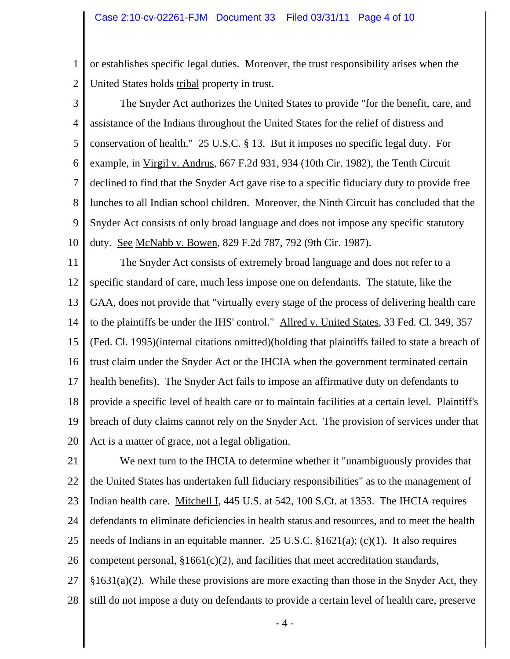1 2 or establishes specific legal duties. Moreover, the trust responsibility arises when the United States holds tribal property in trust.

3

4 5 6 7 8 9 10 The Snyder Act authorizes the United States to provide "for the benefit, care, and assistance of the Indians throughout the United States for the relief of distress and conservation of health." 25 U.S.C. § 13. But it imposes no specific legal duty. For example, in Virgil v. Andrus, 667 F.2d 931, 934 (10th Cir. 1982), the Tenth Circuit declined to find that the Snyder Act gave rise to a specific fiduciary duty to provide free lunches to all Indian school children. Moreover, the Ninth Circuit has concluded that the Snyder Act consists of only broad language and does not impose any specific statutory duty. See McNabb v. Bowen, 829 F.2d 787, 792 (9th Cir. 1987).

11 12 13 14 15 16 17 18 19 20 The Snyder Act consists of extremely broad language and does not refer to a specific standard of care, much less impose one on defendants. The statute, like the GAA, does not provide that "virtually every stage of the process of delivering health care to the plaintiffs be under the IHS' control." Allred v. United States, 33 Fed. Cl. 349, 357 (Fed. Cl. 1995)(internal citations omitted)(holding that plaintiffs failed to state a breach of trust claim under the Snyder Act or the IHCIA when the government terminated certain health benefits). The Snyder Act fails to impose an affirmative duty on defendants to provide a specific level of health care or to maintain facilities at a certain level. Plaintiff's breach of duty claims cannot rely on the Snyder Act. The provision of services under that Act is a matter of grace, not a legal obligation.

21 22 23 24 25 26 27 28 We next turn to the IHCIA to determine whether it "unambiguously provides that the United States has undertaken full fiduciary responsibilities" as to the management of Indian health care. Mitchell I, 445 U.S. at 542, 100 S.Ct. at 1353. The IHCIA requires defendants to eliminate deficiencies in health status and resources, and to meet the health needs of Indians in an equitable manner. 25 U.S.C. §1621(a); (c)(1). It also requires competent personal,  $§1661(c)(2)$ , and facilities that meet accreditation standards,  $§1631(a)(2)$ . While these provisions are more exacting than those in the Snyder Act, they still do not impose a duty on defendants to provide a certain level of health care, preserve

- 4 -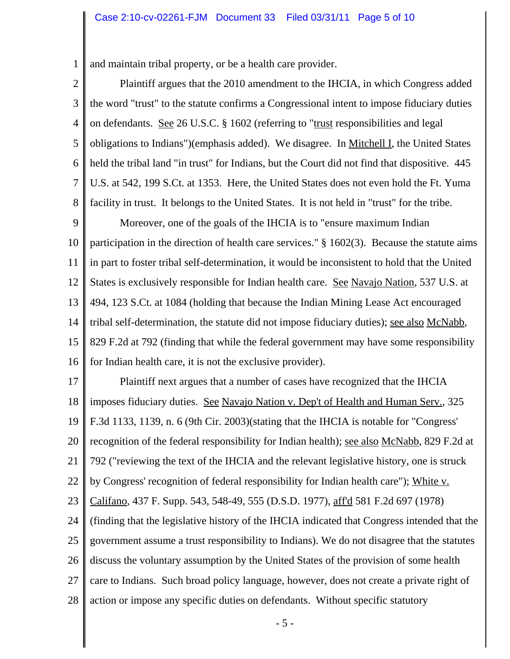1 and maintain tribal property, or be a health care provider.

2 3 4 5 6 7 8 Plaintiff argues that the 2010 amendment to the IHCIA, in which Congress added the word "trust" to the statute confirms a Congressional intent to impose fiduciary duties on defendants. See 26 U.S.C. § 1602 (referring to "trust responsibilities and legal obligations to Indians")(emphasis added). We disagree. In <u>Mitchell I</u>, the United States held the tribal land "in trust" for Indians, but the Court did not find that dispositive. 445 U.S. at 542, 199 S.Ct. at 1353. Here, the United States does not even hold the Ft. Yuma facility in trust. It belongs to the United States. It is not held in "trust" for the tribe.

9 10 11 12 13 14 15 16 Moreover, one of the goals of the IHCIA is to "ensure maximum Indian participation in the direction of health care services." § 1602(3). Because the statute aims in part to foster tribal self-determination, it would be inconsistent to hold that the United States is exclusively responsible for Indian health care. See Navajo Nation, 537 U.S. at 494, 123 S.Ct. at 1084 (holding that because the Indian Mining Lease Act encouraged tribal self-determination, the statute did not impose fiduciary duties); see also McNabb, 829 F.2d at 792 (finding that while the federal government may have some responsibility for Indian health care, it is not the exclusive provider).

17 18 19 20 21 22 23 24 25 26 27 28 Plaintiff next argues that a number of cases have recognized that the IHCIA imposes fiduciary duties. See Navajo Nation v. Dep't of Health and Human Serv., 325 F.3d 1133, 1139, n. 6 (9th Cir. 2003)(stating that the IHCIA is notable for "Congress' recognition of the federal responsibility for Indian health); see also McNabb, 829 F.2d at 792 ("reviewing the text of the IHCIA and the relevant legislative history, one is struck by Congress' recognition of federal responsibility for Indian health care"); White v. Califano, 437 F. Supp. 543, 548-49, 555 (D.S.D. 1977), aff'd 581 F.2d 697 (1978) (finding that the legislative history of the IHCIA indicated that Congress intended that the government assume a trust responsibility to Indians). We do not disagree that the statutes discuss the voluntary assumption by the United States of the provision of some health care to Indians. Such broad policy language, however, does not create a private right of action or impose any specific duties on defendants. Without specific statutory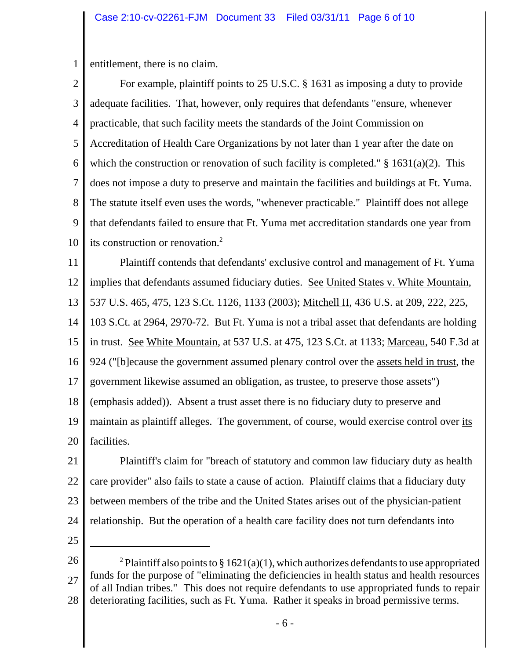1 entitlement, there is no claim.

2 3 4 5 6 7 8 9 10 For example, plaintiff points to 25 U.S.C. § 1631 as imposing a duty to provide adequate facilities. That, however, only requires that defendants "ensure, whenever practicable, that such facility meets the standards of the Joint Commission on Accreditation of Health Care Organizations by not later than 1 year after the date on which the construction or renovation of such facility is completed."  $\S$  1631(a)(2). This does not impose a duty to preserve and maintain the facilities and buildings at Ft. Yuma. The statute itself even uses the words, "whenever practicable." Plaintiff does not allege that defendants failed to ensure that Ft. Yuma met accreditation standards one year from its construction or renovation.2

11 12 13 14 15 16 Plaintiff contends that defendants' exclusive control and management of Ft. Yuma implies that defendants assumed fiduciary duties. See United States v. White Mountain, 537 U.S. 465, 475, 123 S.Ct. 1126, 1133 (2003); Mitchell II, 436 U.S. at 209, 222, 225, 103 S.Ct. at 2964, 2970-72. But Ft. Yuma is not a tribal asset that defendants are holding in trust. See White Mountain, at 537 U.S. at 475, 123 S.Ct. at 1133; Marceau, 540 F.3d at

924 ("[b]ecause the government assumed plenary control over the assets held in trust, the

17 government likewise assumed an obligation, as trustee, to preserve those assets")

18 (emphasis added)). Absent a trust asset there is no fiduciary duty to preserve and

19 20 maintain as plaintiff alleges. The government, of course, would exercise control over its facilities.

21 22 23 24 Plaintiff's claim for "breach of statutory and common law fiduciary duty as health care provider" also fails to state a cause of action. Plaintiff claims that a fiduciary duty between members of the tribe and the United States arises out of the physician-patient relationship. But the operation of a health care facility does not turn defendants into

25

<sup>26</sup> 27 28 <sup>2</sup> Plaintiff also points to § 1621(a)(1), which authorizes defendants to use appropriated funds for the purpose of "eliminating the deficiencies in health status and health resources of all Indian tribes." This does not require defendants to use appropriated funds to repair deteriorating facilities, such as Ft. Yuma. Rather it speaks in broad permissive terms.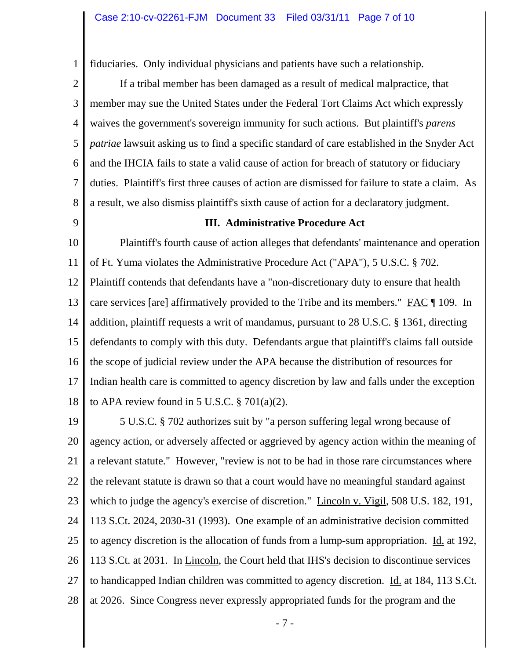1 fiduciaries. Only individual physicians and patients have such a relationship.

2 3 4 5 6 7 8 If a tribal member has been damaged as a result of medical malpractice, that member may sue the United States under the Federal Tort Claims Act which expressly waives the government's sovereign immunity for such actions. But plaintiff's *parens patriae* lawsuit asking us to find a specific standard of care established in the Snyder Act and the IHCIA fails to state a valid cause of action for breach of statutory or fiduciary duties. Plaintiff's first three causes of action are dismissed for failure to state a claim. As a result, we also dismiss plaintiff's sixth cause of action for a declaratory judgment.

9

## **III. Administrative Procedure Act**

10 11 12 13 14 15 16 17 18 Plaintiff's fourth cause of action alleges that defendants' maintenance and operation of Ft. Yuma violates the Administrative Procedure Act ("APA"), 5 U.S.C. § 702. Plaintiff contends that defendants have a "non-discretionary duty to ensure that health care services [are] affirmatively provided to the Tribe and its members." FAC ¶ 109. In addition, plaintiff requests a writ of mandamus, pursuant to 28 U.S.C. § 1361, directing defendants to comply with this duty. Defendants argue that plaintiff's claims fall outside the scope of judicial review under the APA because the distribution of resources for Indian health care is committed to agency discretion by law and falls under the exception to APA review found in 5 U.S.C.  $\S$  701(a)(2).

19 20 21 22 23 24 25 26 27 28 5 U.S.C. § 702 authorizes suit by "a person suffering legal wrong because of agency action, or adversely affected or aggrieved by agency action within the meaning of a relevant statute." However, "review is not to be had in those rare circumstances where the relevant statute is drawn so that a court would have no meaningful standard against which to judge the agency's exercise of discretion." Lincoln v. Vigil, 508 U.S. 182, 191, 113 S.Ct. 2024, 2030-31 (1993). One example of an administrative decision committed to agency discretion is the allocation of funds from a lump-sum appropriation. Id. at 192, 113 S.Ct. at 2031. In Lincoln, the Court held that IHS's decision to discontinue services to handicapped Indian children was committed to agency discretion. Id. at 184, 113 S.Ct. at 2026. Since Congress never expressly appropriated funds for the program and the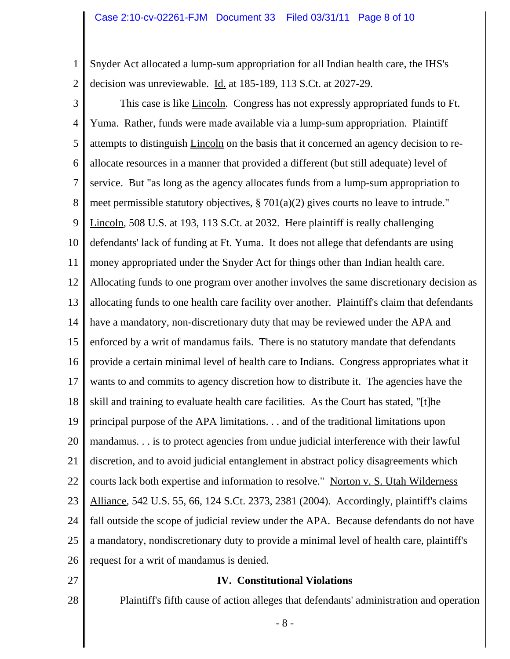1 2 Snyder Act allocated a lump-sum appropriation for all Indian health care, the IHS's decision was unreviewable. Id. at 185-189, 113 S.Ct. at 2027-29.

3 4 5 6 7 8 9 10 11 12 13 14 15 16 17 18 19 20 21 22 23 24 25 26 27 This case is like Lincoln. Congress has not expressly appropriated funds to Ft. Yuma. Rather, funds were made available via a lump-sum appropriation. Plaintiff attempts to distinguish Lincoln on the basis that it concerned an agency decision to reallocate resources in a manner that provided a different (but still adequate) level of service. But "as long as the agency allocates funds from a lump-sum appropriation to meet permissible statutory objectives, § 701(a)(2) gives courts no leave to intrude." Lincoln, 508 U.S. at 193, 113 S.Ct. at 2032. Here plaintiff is really challenging defendants' lack of funding at Ft. Yuma. It does not allege that defendants are using money appropriated under the Snyder Act for things other than Indian health care. Allocating funds to one program over another involves the same discretionary decision as allocating funds to one health care facility over another. Plaintiff's claim that defendants have a mandatory, non-discretionary duty that may be reviewed under the APA and enforced by a writ of mandamus fails. There is no statutory mandate that defendants provide a certain minimal level of health care to Indians. Congress appropriates what it wants to and commits to agency discretion how to distribute it. The agencies have the skill and training to evaluate health care facilities. As the Court has stated, "[t]he principal purpose of the APA limitations. . . and of the traditional limitations upon mandamus. . . is to protect agencies from undue judicial interference with their lawful discretion, and to avoid judicial entanglement in abstract policy disagreements which courts lack both expertise and information to resolve." Norton v. S. Utah Wilderness Alliance, 542 U.S. 55, 66, 124 S.Ct. 2373, 2381 (2004). Accordingly, plaintiff's claims fall outside the scope of judicial review under the APA. Because defendants do not have a mandatory, nondiscretionary duty to provide a minimal level of health care, plaintiff's request for a writ of mandamus is denied.

## **IV. Constitutional Violations**

Plaintiff's fifth cause of action alleges that defendants' administration and operation

28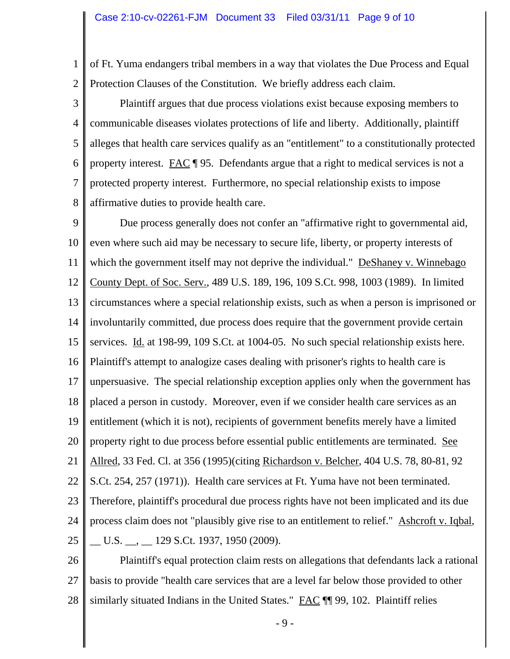1 2 of Ft. Yuma endangers tribal members in a way that violates the Due Process and Equal Protection Clauses of the Constitution. We briefly address each claim.

3 4 5 6 7 8 Plaintiff argues that due process violations exist because exposing members to communicable diseases violates protections of life and liberty. Additionally, plaintiff alleges that health care services qualify as an "entitlement" to a constitutionally protected property interest. FAC  $\parallel$  95. Defendants argue that a right to medical services is not a protected property interest. Furthermore, no special relationship exists to impose affirmative duties to provide health care.

9 10 11 12 13 14 15 16 17 18 19 20 21 22 23 24 25 Due process generally does not confer an "affirmative right to governmental aid, even where such aid may be necessary to secure life, liberty, or property interests of which the government itself may not deprive the individual." DeShaney v. Winnebago County Dept. of Soc. Serv., 489 U.S. 189, 196, 109 S.Ct. 998, 1003 (1989). In limited circumstances where a special relationship exists, such as when a person is imprisoned or involuntarily committed, due process does require that the government provide certain services. Id. at 198-99, 109 S.Ct. at 1004-05. No such special relationship exists here. Plaintiff's attempt to analogize cases dealing with prisoner's rights to health care is unpersuasive. The special relationship exception applies only when the government has placed a person in custody. Moreover, even if we consider health care services as an entitlement (which it is not), recipients of government benefits merely have a limited property right to due process before essential public entitlements are terminated. See Allred, 33 Fed. Cl. at 356 (1995)(citing Richardson v. Belcher, 404 U.S. 78, 80-81, 92 S.Ct. 254, 257 (1971)). Health care services at Ft. Yuma have not been terminated. Therefore, plaintiff's procedural due process rights have not been implicated and its due process claim does not "plausibly give rise to an entitlement to relief." Ashcroft v. Iqbal, \_\_ U.S. \_\_, \_\_ 129 S.Ct. 1937, 1950 (2009).

26 27 28 Plaintiff's equal protection claim rests on allegations that defendants lack a rational basis to provide "health care services that are a level far below those provided to other similarly situated Indians in the United States." FAC ¶ 99, 102. Plaintiff relies

- 9 -